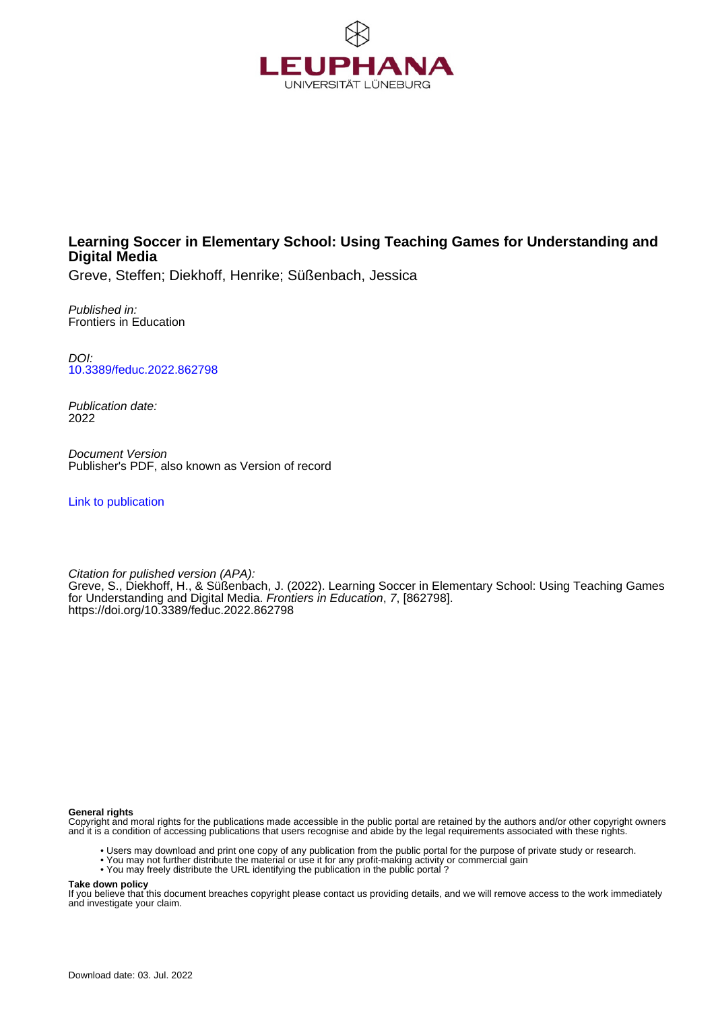

# **Learning Soccer in Elementary School: Using Teaching Games for Understanding and Digital Media**

Greve, Steffen; Diekhoff, Henrike; Süßenbach, Jessica

Published in: Frontiers in Education

DOI: [10.3389/feduc.2022.862798](https://doi.org/10.3389/feduc.2022.862798)

Publication date: 2022

Document Version Publisher's PDF, also known as Version of record

[Link to publication](http://fox.leuphana.de/portal/en/publications/learning-soccer-in-elementary-school-using-teaching-games-for-understanding-and-digital-media(6a5ba948-3736-4cba-8cb8-3b53a51c5400).html)

Citation for pulished version (APA): [Greve, S.](http://fox.leuphana.de/portal/de/persons/steffen-greve(57196987-d6f1-453b-88b2-c12dd844b156).html)[, Diekhoff, H.](http://fox.leuphana.de/portal/de/persons/henrike-diekhoff(79365464-d395-49a0-b469-2bb0810f3de6).html)[, & Süßenbach, J.](http://fox.leuphana.de/portal/de/persons/jessica-sussenbach(675dc0fd-5252-4235-89f6-6fe0f3eafa7b).html) (2022). [Learning Soccer in Elementary School: Using Teaching Games](http://fox.leuphana.de/portal/de/publications/learning-soccer-in-elementary-school-using-teaching-games-for-understanding-and-digital-media(6a5ba948-3736-4cba-8cb8-3b53a51c5400).html) [for Understanding and Digital Media.](http://fox.leuphana.de/portal/de/publications/learning-soccer-in-elementary-school-using-teaching-games-for-understanding-and-digital-media(6a5ba948-3736-4cba-8cb8-3b53a51c5400).html) [Frontiers in Education](http://fox.leuphana.de/portal/de/journals/frontiers-in-education(2316f90f-34b4-448c-badd-58ac69bf7ddb)/publications.html), 7, [862798]. <https://doi.org/10.3389/feduc.2022.862798>

#### **General rights**

Copyright and moral rights for the publications made accessible in the public portal are retained by the authors and/or other copyright owners and it is a condition of accessing publications that users recognise and abide by the legal requirements associated with these rights.

- Users may download and print one copy of any publication from the public portal for the purpose of private study or research.
- You may not further distribute the material or use it for any profit-making activity or commercial gain
- You may freely distribute the URL identifying the publication in the public portal ?

#### **Take down policy**

If you believe that this document breaches copyright please contact us providing details, and we will remove access to the work immediately and investigate your claim.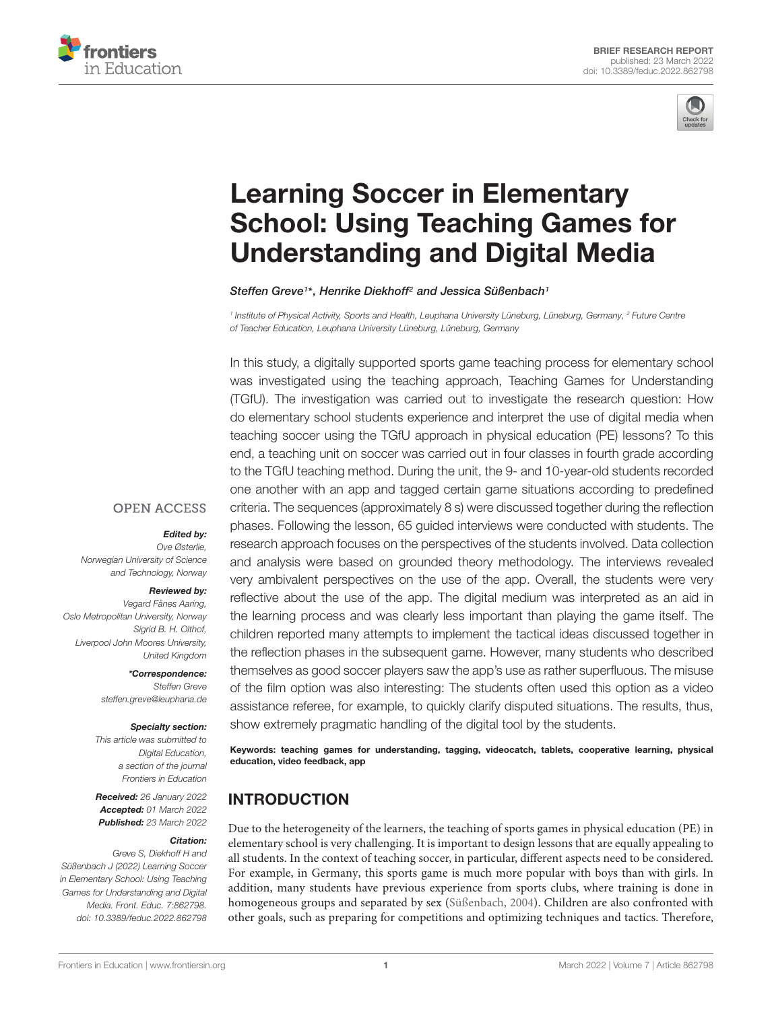



# Learning Soccer in Elementary [School: Using Teaching Games for](https://www.frontiersin.org/articles/10.3389/feduc.2022.862798/full) Understanding and Digital Media

Steffen Greve1\*, Henrike Diekhoff<sup>2</sup> and Jessica Süßenbach1

1 Institute of Physical Activity, Sports and Health, Leuphana University Lüneburg, Lüneburg, Germany, <sup>2</sup> Future Centre of Teacher Education, Leuphana University Lüneburg, Lüneburg, Germany

In this study, a digitally supported sports game teaching process for elementary school was investigated using the teaching approach, Teaching Games for Understanding (TGfU). The investigation was carried out to investigate the research question: How do elementary school students experience and interpret the use of digital media when teaching soccer using the TGfU approach in physical education (PE) lessons? To this end, a teaching unit on soccer was carried out in four classes in fourth grade according to the TGfU teaching method. During the unit, the 9- and 10-year-old students recorded one another with an app and tagged certain game situations according to predefined criteria. The sequences (approximately 8 s) were discussed together during the reflection phases. Following the lesson, 65 guided interviews were conducted with students. The research approach focuses on the perspectives of the students involved. Data collection and analysis were based on grounded theory methodology. The interviews revealed very ambivalent perspectives on the use of the app. Overall, the students were very reflective about the use of the app. The digital medium was interpreted as an aid in the learning process and was clearly less important than playing the game itself. The children reported many attempts to implement the tactical ideas discussed together in the reflection phases in the subsequent game. However, many students who described themselves as good soccer players saw the app's use as rather superfluous. The misuse of the film option was also interesting: The students often used this option as a video assistance referee, for example, to quickly clarify disputed situations. The results, thus, show extremely pragmatic handling of the digital tool by the students.

Keywords: teaching games for understanding, tagging, videocatch, tablets, cooperative learning, physical education, video feedback, app

# INTRODUCTION

Due to the heterogeneity of the learners, the teaching of sports games in physical education (PE) in elementary school is very challenging. It is important to design lessons that are equally appealing to all students. In the context of teaching soccer, in particular, different aspects need to be considered. For example, in Germany, this sports game is much more popular with boys than with girls. In addition, many students have previous experience from sports clubs, where training is done in homogeneous groups and separated by sex [\(Süßenbach,](#page-5-0) [2004\)](#page-5-0). Children are also confronted with other goals, such as preparing for competitions and optimizing techniques and tactics. Therefore,

#### **OPEN ACCESS**

#### Edited by:

Ove Østerlie, Norwegian University of Science and Technology, Norway

#### Reviewed by:

Vegard Fånes Aaring, Oslo Metropolitan University, Norway Sigrid B. H. Olthof, Liverpool John Moores University, United Kingdom

> \*Correspondence: Steffen Greve steffen.greve@leuphana.de

#### Specialty section:

This article was submitted to Digital Education, a section of the journal Frontiers in Education

Received: 26 January 2022 Accepted: 01 March 2022 Published: 23 March 2022

#### Citation:

Greve S, Diekhoff H and Süßenbach J (2022) Learning Soccer in Elementary School: Using Teaching Games for Understanding and Digital Media. Front. Educ. 7:862798. doi: [10.3389/feduc.2022.862798](https://doi.org/10.3389/feduc.2022.862798)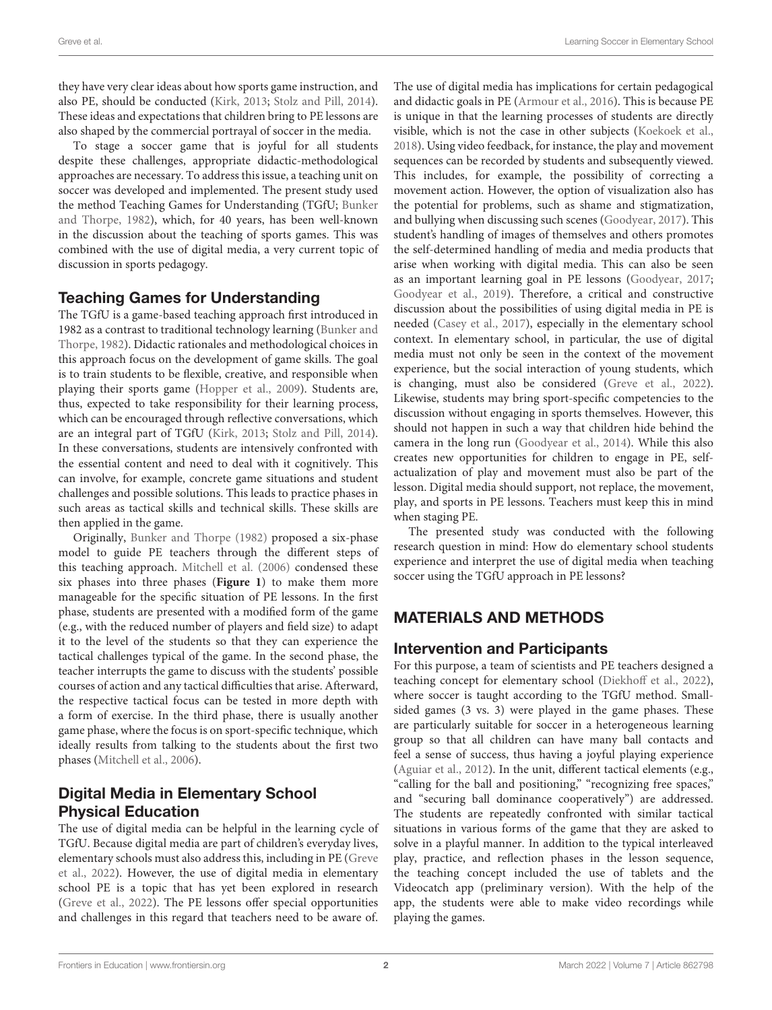they have very clear ideas about how sports game instruction, and also PE, should be conducted [\(Kirk,](#page-5-1) [2013;](#page-5-1) [Stolz and Pill,](#page-5-2) [2014\)](#page-5-2). These ideas and expectations that children bring to PE lessons are also shaped by the commercial portrayal of soccer in the media.

To stage a soccer game that is joyful for all students despite these challenges, appropriate didactic-methodological approaches are necessary. To address this issue, a teaching unit on soccer was developed and implemented. The present study used the method Teaching Games for Understanding (TGfU; [Bunker](#page-5-3) [and Thorpe,](#page-5-3) [1982\)](#page-5-3), which, for 40 years, has been well-known in the discussion about the teaching of sports games. This was combined with the use of digital media, a very current topic of discussion in sports pedagogy.

## Teaching Games for Understanding

The TGfU is a game-based teaching approach first introduced in 1982 as a contrast to traditional technology learning [\(Bunker and](#page-5-3) [Thorpe,](#page-5-3) [1982\)](#page-5-3). Didactic rationales and methodological choices in this approach focus on the development of game skills. The goal is to train students to be flexible, creative, and responsible when playing their sports game [\(Hopper et al.,](#page-5-4) [2009\)](#page-5-4). Students are, thus, expected to take responsibility for their learning process, which can be encouraged through reflective conversations, which are an integral part of TGfU [\(Kirk,](#page-5-1) [2013;](#page-5-1) [Stolz and Pill,](#page-5-2) [2014\)](#page-5-2). In these conversations, students are intensively confronted with the essential content and need to deal with it cognitively. This can involve, for example, concrete game situations and student challenges and possible solutions. This leads to practice phases in such areas as tactical skills and technical skills. These skills are then applied in the game.

Originally, [Bunker and Thorpe](#page-5-3) [\(1982\)](#page-5-3) proposed a six-phase model to guide PE teachers through the different steps of this teaching approach. [Mitchell et al.](#page-5-5) [\(2006\)](#page-5-5) condensed these six phases into three phases (**[Figure 1](#page-3-0)**) to make them more manageable for the specific situation of PE lessons. In the first phase, students are presented with a modified form of the game (e.g., with the reduced number of players and field size) to adapt it to the level of the students so that they can experience the tactical challenges typical of the game. In the second phase, the teacher interrupts the game to discuss with the students' possible courses of action and any tactical difficulties that arise. Afterward, the respective tactical focus can be tested in more depth with a form of exercise. In the third phase, there is usually another game phase, where the focus is on sport-specific technique, which ideally results from talking to the students about the first two phases [\(Mitchell et al.,](#page-5-5) [2006\)](#page-5-5).

# Digital Media in Elementary School Physical Education

The use of digital media can be helpful in the learning cycle of TGfU. Because digital media are part of children's everyday lives, elementary schools must also address this, including in PE [\(Greve](#page-5-6) [et al.,](#page-5-6) [2022\)](#page-5-6). However, the use of digital media in elementary school PE is a topic that has yet been explored in research [\(Greve et al.,](#page-5-6) [2022\)](#page-5-6). The PE lessons offer special opportunities and challenges in this regard that teachers need to be aware of.

The use of digital media has implications for certain pedagogical and didactic goals in PE [\(Armour et al.,](#page-5-7) [2016\)](#page-5-7). This is because PE is unique in that the learning processes of students are directly visible, which is not the case in other subjects [\(Koekoek et al.,](#page-5-8) [2018\)](#page-5-8). Using video feedback, for instance, the play and movement sequences can be recorded by students and subsequently viewed. This includes, for example, the possibility of correcting a movement action. However, the option of visualization also has the potential for problems, such as shame and stigmatization, and bullying when discussing such scenes [\(Goodyear,](#page-5-9) [2017\)](#page-5-9). This student's handling of images of themselves and others promotes the self-determined handling of media and media products that arise when working with digital media. This can also be seen as an important learning goal in PE lessons [\(Goodyear,](#page-5-9) [2017;](#page-5-9) [Goodyear et al.,](#page-5-10) [2019\)](#page-5-10). Therefore, a critical and constructive discussion about the possibilities of using digital media in PE is needed [\(Casey et al.,](#page-5-11) [2017\)](#page-5-11), especially in the elementary school context. In elementary school, in particular, the use of digital media must not only be seen in the context of the movement experience, but the social interaction of young students, which is changing, must also be considered [\(Greve et al.,](#page-5-6) [2022\)](#page-5-6). Likewise, students may bring sport-specific competencies to the discussion without engaging in sports themselves. However, this should not happen in such a way that children hide behind the camera in the long run [\(Goodyear et al.,](#page-5-12) [2014\)](#page-5-12). While this also creates new opportunities for children to engage in PE, selfactualization of play and movement must also be part of the lesson. Digital media should support, not replace, the movement, play, and sports in PE lessons. Teachers must keep this in mind when staging PE.

The presented study was conducted with the following research question in mind: How do elementary school students experience and interpret the use of digital media when teaching soccer using the TGfU approach in PE lessons?

# MATERIALS AND METHODS

## Intervention and Participants

For this purpose, a team of scientists and PE teachers designed a teaching concept for elementary school [\(Diekhoff et al.,](#page-5-13) [2022\)](#page-5-13), where soccer is taught according to the TGfU method. Smallsided games (3 vs. 3) were played in the game phases. These are particularly suitable for soccer in a heterogeneous learning group so that all children can have many ball contacts and feel a sense of success, thus having a joyful playing experience [\(Aguiar et al.,](#page-5-14) [2012\)](#page-5-14). In the unit, different tactical elements (e.g., "calling for the ball and positioning," "recognizing free spaces," and "securing ball dominance cooperatively") are addressed. The students are repeatedly confronted with similar tactical situations in various forms of the game that they are asked to solve in a playful manner. In addition to the typical interleaved play, practice, and reflection phases in the lesson sequence, the teaching concept included the use of tablets and the Videocatch app (preliminary version). With the help of the app, the students were able to make video recordings while playing the games.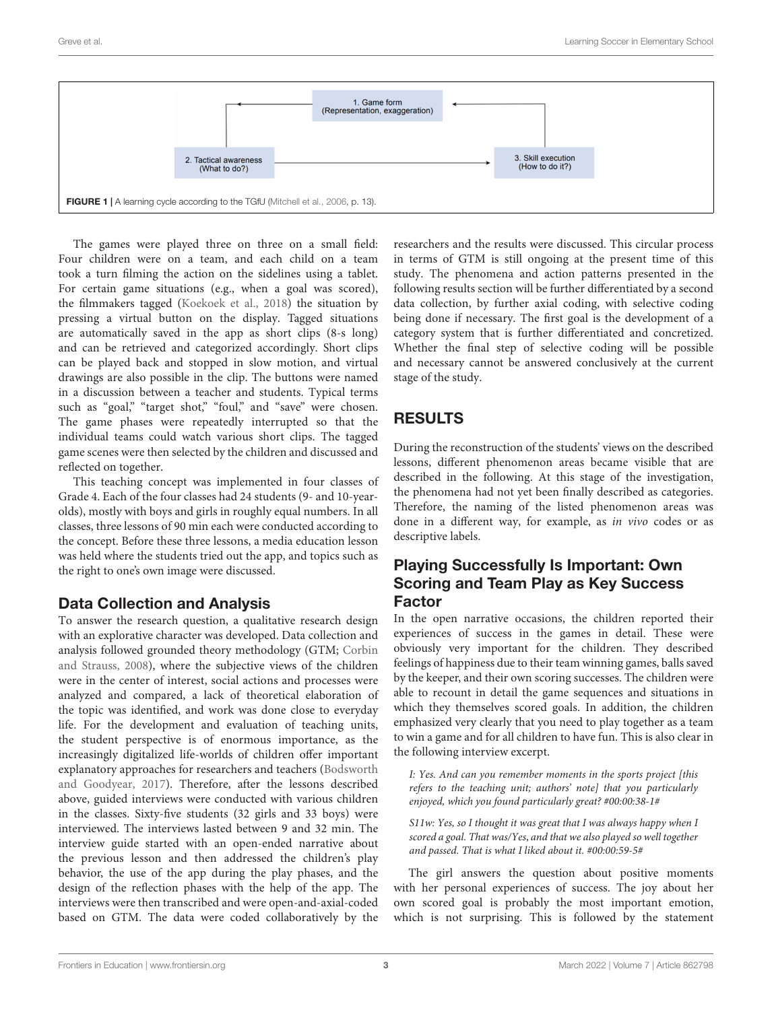

<span id="page-3-0"></span>The games were played three on three on a small field: Four children were on a team, and each child on a team took a turn filming the action on the sidelines using a tablet. For certain game situations (e.g., when a goal was scored), the filmmakers tagged [\(Koekoek et al.,](#page-5-8) [2018\)](#page-5-8) the situation by pressing a virtual button on the display. Tagged situations are automatically saved in the app as short clips (8-s long) and can be retrieved and categorized accordingly. Short clips can be played back and stopped in slow motion, and virtual drawings are also possible in the clip. The buttons were named in a discussion between a teacher and students. Typical terms such as "goal," "target shot," "foul," and "save" were chosen. The game phases were repeatedly interrupted so that the individual teams could watch various short clips. The tagged game scenes were then selected by the children and discussed and reflected on together.

This teaching concept was implemented in four classes of Grade 4. Each of the four classes had 24 students (9- and 10-yearolds), mostly with boys and girls in roughly equal numbers. In all classes, three lessons of 90 min each were conducted according to the concept. Before these three lessons, a media education lesson was held where the students tried out the app, and topics such as the right to one's own image were discussed.

## Data Collection and Analysis

To answer the research question, a qualitative research design with an explorative character was developed. Data collection and analysis followed grounded theory methodology (GTM; [Corbin](#page-5-15) [and Strauss,](#page-5-15) [2008\)](#page-5-15), where the subjective views of the children were in the center of interest, social actions and processes were analyzed and compared, a lack of theoretical elaboration of the topic was identified, and work was done close to everyday life. For the development and evaluation of teaching units, the student perspective is of enormous importance, as the increasingly digitalized life-worlds of children offer important explanatory approaches for researchers and teachers [\(Bodsworth](#page-5-16) [and Goodyear,](#page-5-16) [2017\)](#page-5-16). Therefore, after the lessons described above, guided interviews were conducted with various children in the classes. Sixty-five students (32 girls and 33 boys) were interviewed. The interviews lasted between 9 and 32 min. The interview guide started with an open-ended narrative about the previous lesson and then addressed the children's play behavior, the use of the app during the play phases, and the design of the reflection phases with the help of the app. The interviews were then transcribed and were open-and-axial-coded based on GTM. The data were coded collaboratively by the researchers and the results were discussed. This circular process in terms of GTM is still ongoing at the present time of this study. The phenomena and action patterns presented in the following results section will be further differentiated by a second data collection, by further axial coding, with selective coding being done if necessary. The first goal is the development of a category system that is further differentiated and concretized. Whether the final step of selective coding will be possible and necessary cannot be answered conclusively at the current stage of the study.

# RESULTS

During the reconstruction of the students' views on the described lessons, different phenomenon areas became visible that are described in the following. At this stage of the investigation, the phenomena had not yet been finally described as categories. Therefore, the naming of the listed phenomenon areas was done in a different way, for example, as in vivo codes or as descriptive labels.

## Playing Successfully Is Important: Own Scoring and Team Play as Key Success Factor

In the open narrative occasions, the children reported their experiences of success in the games in detail. These were obviously very important for the children. They described feelings of happiness due to their team winning games, balls saved by the keeper, and their own scoring successes. The children were able to recount in detail the game sequences and situations in which they themselves scored goals. In addition, the children emphasized very clearly that you need to play together as a team to win a game and for all children to have fun. This is also clear in the following interview excerpt.

I: Yes. And can you remember moments in the sports project [this refers to the teaching unit; authors' note] that you particularly enjoyed, which you found particularly great? #00:00:38-1#

S11w: Yes, so I thought it was great that I was always happy when I scored a goal. That was/Yes, and that we also played so well together and passed. That is what I liked about it. #00:00:59-5#

The girl answers the question about positive moments with her personal experiences of success. The joy about her own scored goal is probably the most important emotion, which is not surprising. This is followed by the statement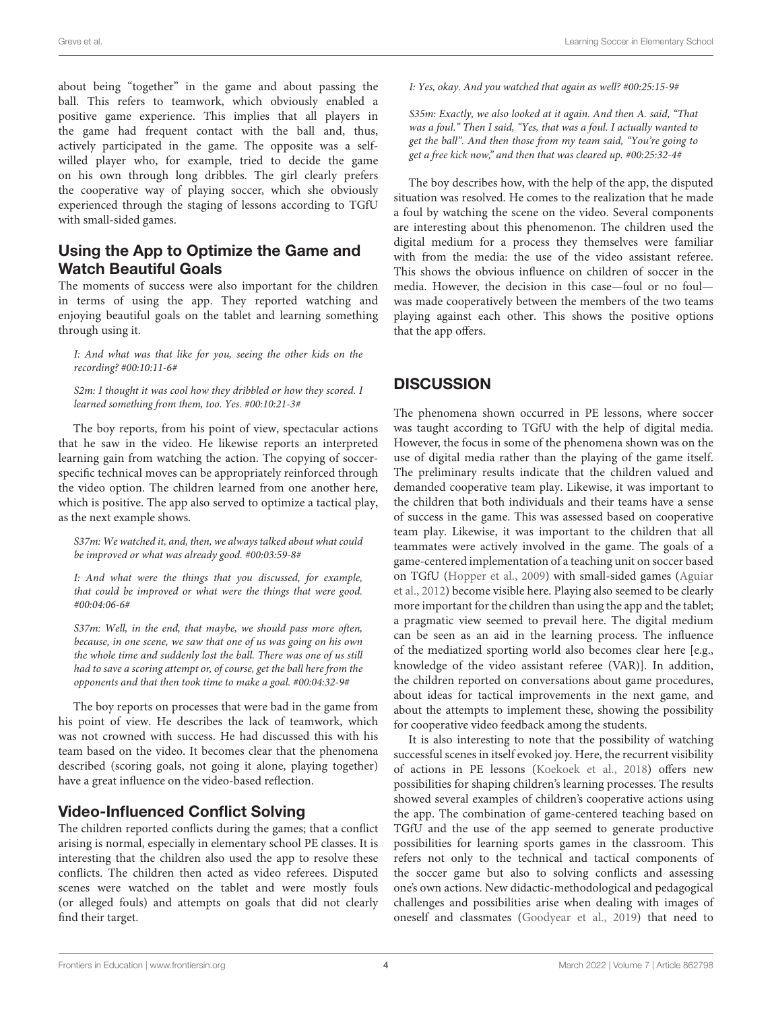about being "together" in the game and about passing the ball. This refers to teamwork, which obviously enabled a positive game experience. This implies that all players in the game had frequent contact with the ball and, thus,

actively participated in the game. The opposite was a selfwilled player who, for example, tried to decide the game on his own through long dribbles. The girl clearly prefers the cooperative way of playing soccer, which she obviously experienced through the staging of lessons according to TGfU with small-sided games.

## Using the App to Optimize the Game and Watch Beautiful Goals

The moments of success were also important for the children in terms of using the app. They reported watching and enjoying beautiful goals on the tablet and learning something through using it.

I: And what was that like for you, seeing the other kids on the recording? #00:10:11-6#

S2m: I thought it was cool how they dribbled or how they scored. I learned something from them, too. Yes. #00:10:21-3#

The boy reports, from his point of view, spectacular actions that he saw in the video. He likewise reports an interpreted learning gain from watching the action. The copying of soccerspecific technical moves can be appropriately reinforced through the video option. The children learned from one another here, which is positive. The app also served to optimize a tactical play, as the next example shows.

S37m: We watched it, and, then, we always talked about what could be improved or what was already good. #00:03:59-8#

I: And what were the things that you discussed, for example, that could be improved or what were the things that were good. #00:04:06-6#

S37m: Well, in the end, that maybe, we should pass more often, because, in one scene, we saw that one of us was going on his own the whole time and suddenly lost the ball. There was one of us still had to save a scoring attempt or, of course, get the ball here from the opponents and that then took time to make a goal. #00:04:32-9#

The boy reports on processes that were bad in the game from his point of view. He describes the lack of teamwork, which was not crowned with success. He had discussed this with his team based on the video. It becomes clear that the phenomena described (scoring goals, not going it alone, playing together) have a great influence on the video-based reflection.

## Video-Influenced Conflict Solving

The children reported conflicts during the games; that a conflict arising is normal, especially in elementary school PE classes. It is interesting that the children also used the app to resolve these conflicts. The children then acted as video referees. Disputed scenes were watched on the tablet and were mostly fouls (or alleged fouls) and attempts on goals that did not clearly find their target.

I: Yes, okay. And you watched that again as well? #00:25:15-9#

S35m: Exactly, we also looked at it again. And then A. said, "That was a foul." Then I said, "Yes, that was a foul. I actually wanted to get the ball". And then those from my team said, "You're going to get a free kick now," and then that was cleared up. #00:25:32-4#

The boy describes how, with the help of the app, the disputed situation was resolved. He comes to the realization that he made a foul by watching the scene on the video. Several components are interesting about this phenomenon. The children used the digital medium for a process they themselves were familiar with from the media: the use of the video assistant referee. This shows the obvious influence on children of soccer in the media. However, the decision in this case—foul or no foul was made cooperatively between the members of the two teams playing against each other. This shows the positive options that the app offers.

# **DISCUSSION**

The phenomena shown occurred in PE lessons, where soccer was taught according to TGfU with the help of digital media. However, the focus in some of the phenomena shown was on the use of digital media rather than the playing of the game itself. The preliminary results indicate that the children valued and demanded cooperative team play. Likewise, it was important to the children that both individuals and their teams have a sense of success in the game. This was assessed based on cooperative team play. Likewise, it was important to the children that all teammates were actively involved in the game. The goals of a game-centered implementation of a teaching unit on soccer based on TGfU [\(Hopper et al.,](#page-5-4) [2009\)](#page-5-4) with small-sided games [\(Aguiar](#page-5-14) [et al.,](#page-5-14) [2012\)](#page-5-14) become visible here. Playing also seemed to be clearly more important for the children than using the app and the tablet; a pragmatic view seemed to prevail here. The digital medium can be seen as an aid in the learning process. The influence of the mediatized sporting world also becomes clear here [e.g., knowledge of the video assistant referee (VAR)]. In addition, the children reported on conversations about game procedures, about ideas for tactical improvements in the next game, and about the attempts to implement these, showing the possibility for cooperative video feedback among the students.

It is also interesting to note that the possibility of watching successful scenes in itself evoked joy. Here, the recurrent visibility of actions in PE lessons [\(Koekoek et al.,](#page-5-8) [2018\)](#page-5-8) offers new possibilities for shaping children's learning processes. The results showed several examples of children's cooperative actions using the app. The combination of game-centered teaching based on TGfU and the use of the app seemed to generate productive possibilities for learning sports games in the classroom. This refers not only to the technical and tactical components of the soccer game but also to solving conflicts and assessing one's own actions. New didactic-methodological and pedagogical challenges and possibilities arise when dealing with images of oneself and classmates [\(Goodyear et al.,](#page-5-10) [2019\)](#page-5-10) that need to